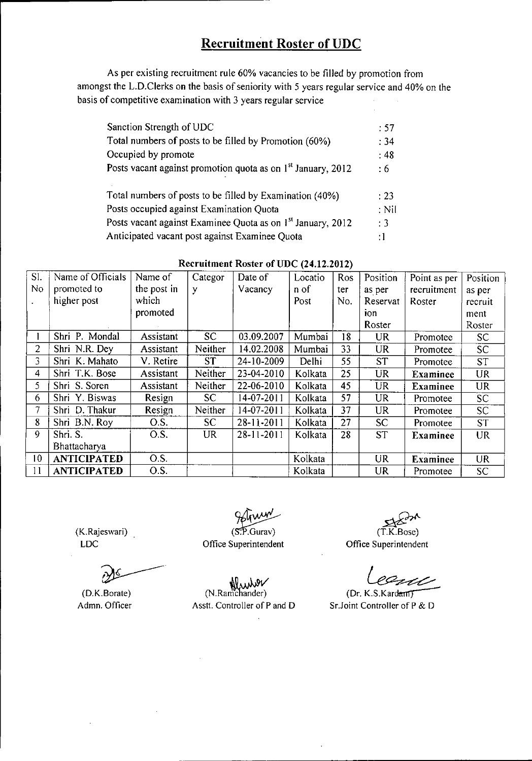As per existing recruitment rule 60% vacancies to be filled by promotion from amongst the L.D.Clerks on the basis of seniority with 5 years regular service and 40% on the basis of competitive examination with 3 years regular service

| Sanction Strength of UDC                                                 | :57     |
|--------------------------------------------------------------------------|---------|
| Total numbers of posts to be filled by Promotion (60%)                   | :34     |
| Occupied by promote                                                      | :48     |
| Posts vacant against promotion quota as on 1 <sup>st</sup> January, 2012 | : 6     |
| Total numbers of posts to be filled by Examination (40%)                 | : 23    |
| Posts occupied against Examination Quota                                 | $:$ Nil |
| Posts vacant against Examinee Quota as on 1 <sup>st</sup> January, 2012  | :3      |
| Anticipated vacant post against Examinee Quota                           | :1      |

| SI.             | Name of Officials  | Name of     | Categor   | Date of    | Locatio      | Ros  | Position  | Point as per    | Position  |
|-----------------|--------------------|-------------|-----------|------------|--------------|------|-----------|-----------------|-----------|
| No              | promoted to        | the post in | y         | Vacancy    | n of         | ter. | as per    | recruitment     | as per    |
|                 | higher post        | which       |           |            | Post         | No.  | Reservat  | Roster          | recruit   |
|                 |                    | promoted    |           |            |              |      | ion       |                 | ment      |
|                 |                    |             |           |            |              |      | Roster    |                 | Roster    |
|                 | Shri P. Mondal     | Assistant   | SC        | 03.09.2007 | Mumbai       | 18   | <b>UR</b> | Promotee        | SC        |
| $\overline{2}$  | Shri N.R. Dey      | Assistant   | Neither   | 14.02.2008 | Mumbai       | 33   | <b>UR</b> | Promotee        | SC.       |
| 3               | Shri K. Mahato     | V. Retire   | <b>ST</b> | 24-10-2009 | <b>Delhi</b> | 55   | <b>ST</b> | Promotee        | <b>ST</b> |
| 4               | Shri T.K. Bose     | Assistant   | Neither   | 23-04-2010 | Kolkata      | 25   | <b>UR</b> | <b>Examinee</b> | <b>UR</b> |
| 5               | Shri S. Soren      | Assistant   | Neither   | 22-06-2010 | Kolkata      | 45   | <b>UR</b> | <b>Examinee</b> | <b>UR</b> |
| 6               | Shri Y. Biswas     | Resign      | SC.       | 14-07-2011 | Kolkata      | 57   | UR        | Promotee        | SC        |
| 7               | Shri D. Thakur     | Resign      | Neither   | 14-07-2011 | Kolkata      | 37   | <b>UR</b> | <b>Promotee</b> | SC.       |
| 8               | Shri B.N. Roy      | O.S.        | SC.       | 28-11-2011 | Kolkata      | 27   | <b>SC</b> | Promotee        | <b>ST</b> |
| 9               | Shri. S.           | O.S.        | <b>UR</b> | 28-11-2011 | Kolkata      | 28   | <b>ST</b> | <b>Examinee</b> | <b>UR</b> |
|                 | Bhattacharya       |             |           |            |              |      |           |                 |           |
| 10              | <b>ANTICIPATED</b> | O.S.        |           |            | Kolkata      |      | UR.       | <b>Examinee</b> | <b>UR</b> |
| $\overline{11}$ | <b>ANTICIPATED</b> | O.S.        |           |            | Kolkata      |      | UR        | Promotee        | SC        |

#### Recruitment Roster of UDC (24.12.2012)

(K.Rajeswari) LDC

(D.K.Borate) Admn. Officer

 $(S.P.Gurav)$ 

Office Superintendent

~ (T.K.Bose)

Office Superintendent

U  $~\cup~$ 

(Dr. K.S.Kardam) SrJoint Controller of P & D

(N.Ramchander) Asstt. Controller of P and D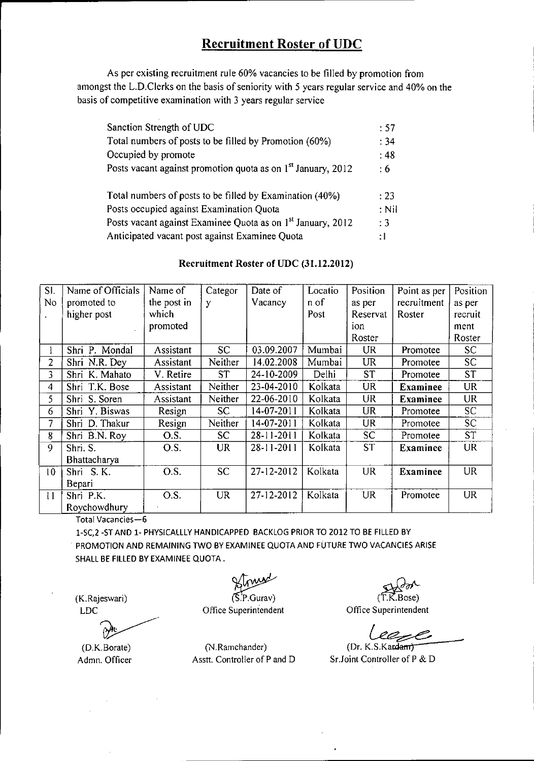As per existing recruitment rule 60% vacancies to be filled by promotion from amongst the L.D.Clerks on the basis of seniority with 5 years regular service and 40% on the basis of competitive examination with 3 years regular service

| Sanction Strength of UDC                                                 | .57            |
|--------------------------------------------------------------------------|----------------|
| Total numbers of posts to be filled by Promotion (60%)                   | : 34           |
| Occupied by promote                                                      | :48            |
| Posts vacant against promotion quota as on 1 <sup>st</sup> January, 2012 | $\cdot 6$      |
| Total numbers of posts to be filled by Examination (40%)                 | $\div 23$      |
| Posts occupied against Examination Quota                                 | $:$ Nil        |
| Posts vacant against Examinee Quota as on 1 <sup>st</sup> January, 2012  | $\therefore$ 3 |
| Anticipated vacant post against Examinee Quota                           | ÷l             |

#### Recruitment Roster of UDC (31.12.2012)

| SI.             | Name of Officials | Name of     | Categor   | Date of    | Locatio | Position  | Point as per    | Position        |
|-----------------|-------------------|-------------|-----------|------------|---------|-----------|-----------------|-----------------|
| No              | promoted to       | the post in | У         | Vacancy    | n of    | as per    | recruitment     | as per          |
|                 | higher post       | which       |           |            | Post    | Reservat  | Roster          | recruit         |
|                 |                   | promoted    |           |            |         | ion       |                 | ment            |
|                 |                   |             |           |            |         | Roster    |                 | Roster          |
| Ł               | Shri P. Mondal    | Assistant   | <b>SC</b> | 03.09.2007 | Mumbai  | <b>UR</b> | Promotee        | SC <sub>1</sub> |
| $\overline{2}$  | Shri N.R. Dey     | Assistant   | Neither   | 14.02.2008 | Mumbai  | <b>UR</b> | Promotee        | SC.             |
| 3               | Shri K. Mahato    | V. Retire   | <b>ST</b> | 24-10-2009 | Delhi   | <b>ST</b> | Promotee        | <b>ST</b>       |
| 4               | Shri T.K. Bose    | Assistant   | Neither   | 23-04-2010 | Kolkata | <b>UR</b> | <b>Examinee</b> | <b>UR</b>       |
| 5               | Shri S. Soren     | Assistant   | Neither   | 22-06-2010 | Kolkata | <b>UR</b> | <b>Examinee</b> | UR.             |
| 6               | Shri Y. Biswas    | Resign      | SC.       | 14-07-2011 | Kolkata | <b>UR</b> | Promotee        | SC.             |
| 7               | Shri D. Thakur    | Resign      | Neither   | 14-07-2011 | Kolkata | <b>UR</b> | Promotee        | <b>SC</b>       |
| 8               | Shri B.N. Roy     | O.S.        | <b>SC</b> | 28-11-2011 | Kolkata | <b>SC</b> | Promotee        | <b>ST</b>       |
| 9               | Shri. S.          | O.S.        | <b>UR</b> | 28-11-2011 | Kolkata | <b>ST</b> | <b>Examinee</b> | <b>UR</b>       |
|                 | Bhattacharya      |             |           |            |         |           |                 |                 |
| 10 <sup>°</sup> | Shri S.K.         | O.S.        | <b>SC</b> | 27-12-2012 | Kolkata | <b>UR</b> | <b>Examinee</b> | <b>UR</b>       |
|                 | Bepari            |             |           |            |         |           |                 |                 |
| $\mathbf{1}$    | Shri P.K.         | O.S.        | <b>UR</b> | 27-12-2012 | Kolkata | <b>UR</b> | Promotee        | UR.             |
|                 | Roychowdhury      |             |           |            |         |           |                 |                 |

Total Vacancies-6

1-SC,2 -ST AND 1- PHYSICALLLY HANDICAPPED BACKLOG PRIOR TO 2012 TO BE FILLED BY . PROMOTION AND REMAINING TWO BY EXAMINEE QUOTA AND FUTURE TWO VACANCIES ARISE SHALL BE FILLED BY EXAMINEE QUOTA.

(K.Rajeswari) LDC

?~ (O.K.Borate)

Admn. Officer

 $(S.P.Gurav)$ 

Office Superintendent

(N.Ramchander) Asstt. Controller of P and D

 $(\widetilde{T.K}$  Bose)

Office Superintendent

(Dr. K.S.Kardam)

Sr.Joint Controller of P & D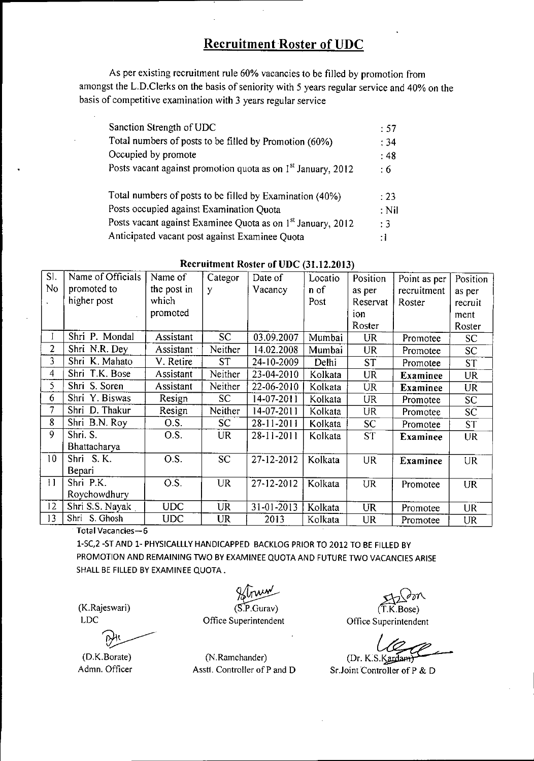As per existing recruitment rule 60% vacancies to be filled by promotion from amongst the L.D.Clerks on the basis of seniority with 5 years regular service and 40% on the basis of competitive examination with 3 years regular service

| Sanction Strength of UDC                                                 | :57        |
|--------------------------------------------------------------------------|------------|
| Total numbers of posts to be filled by Promotion (60%)                   | : 34       |
| Occupied by promote                                                      | $\cdot$ 48 |
| Posts vacant against promotion quota as on 1 <sup>st</sup> January, 2012 | : 6        |
| Total numbers of posts to be filled by Examination (40%)                 | : 23       |
| Posts occupied against Examination Quota                                 | $:$ Nil    |
| Posts vacant against Examinee Quota as on 1 <sup>st</sup> January, 2012  | $\cdot$ 3  |
| Anticipated vacant post against Examinee Quota                           |            |

| SI.             | Name of Officials | Name of     | Categor   | Date of          | Locatio | Position  | Point as per    | Position        |
|-----------------|-------------------|-------------|-----------|------------------|---------|-----------|-----------------|-----------------|
| No              | promoted to       | the post in | y         | Vacancy          | n of    | as per    | recruitment     | as per          |
|                 | higher post       | which       |           |                  | Post    | Reservat  | Roster          | recruit         |
|                 |                   | promoted    |           |                  |         | ion       |                 | ment            |
|                 |                   |             |           |                  |         | Roster    |                 | Roster          |
|                 | Shri P. Mondal    | Assistant   | <b>SC</b> | 03.09.2007       | Mumbai  | <b>UR</b> | Promotee        | <b>SC</b>       |
| 2               | Shri N.R. Dey     | Assistant   | Neither   | 14.02.2008       | Mumbai  | <b>UR</b> | Promotee        | <b>SC</b>       |
| 3               | Shri K. Mahato    | V. Retire   | <b>ST</b> | 24-10-2009       | Delhi   | <b>ST</b> | Promotee        | <b>ST</b>       |
| 4               | Shri T.K. Bose    | Assistant   | Neither   | 23-04-2010       | Kolkata | UR        | <b>Examinee</b> | <b>UR</b>       |
| 5.              | Shri S. Soren     | Assistant   | Neither   | 22-06-2010       | Kolkata | <b>UR</b> | <b>Examinee</b> | <b>UR</b>       |
| 6               | Shri Y. Biswas    | Resign      | <b>SC</b> | 14-07-2011       | Kolkata | <b>UR</b> | Promotee        | SC <sub>1</sub> |
| 7               | Shri D. Thakur    | Resign      | Neither   | 14-07-2011       | Kolkata | UR.       | Promotee        | SC <sub>1</sub> |
| 8               | Shri B.N. Roy     | O.S.        | <b>SC</b> | 28-11-2011       | Kolkata | SC.       | Promotee        | <b>ST</b>       |
| 9               | Shri. S.          | OS          | <b>UR</b> | $28 - 11 - 2011$ | Kolkata | <b>ST</b> | <b>Examinee</b> | <b>UR</b>       |
|                 | Bhattacharya      |             |           |                  |         |           |                 |                 |
| 10 <sup>°</sup> | Shri S.K.         | O.S.        | <b>SC</b> | 27-12-2012       | Kolkata | <b>UR</b> | Examinee        | <b>UR</b>       |
|                 | Bepari            |             |           |                  |         |           |                 |                 |
| 11              | Shri P.K.         | OS.         | <b>UR</b> | 27-12-2012       | Kolkata | <b>UR</b> | Promotee        | <b>UR</b>       |
|                 | Roychowdhury      |             |           |                  |         |           |                 |                 |
| 12              | Shri S.S. Nayak   | <b>UDC</b>  | <b>UR</b> | 31-01-2013       | Kolkata | <b>UR</b> | Promotee        | <b>UR</b>       |
| 13              | Shri S. Ghosh     | <b>UDC</b>  | <b>UR</b> | 2013             | Kolkata | <b>UR</b> | Promotee        | UR              |

### Recruitment Roster of UDC (31.12.2013)

Total Vacancies-6

1-SC,2 -ST AND 1- PHYSICALLLY HANDICAPPED BACKLOG PRIOR TO 2012 TO BE FILLED BY PROMOTION AND REMAINING TWO BY EXAMINEE QUOTA AND FUTURE TWO VACANCIES ARISE SHALL BE FILLED BY EXAMINEE QUOTA.

(K.Rajeswari) LDC

D

(D.K.Borate) Admn. Officer

 $(S.P.Gurav)$ 

Office Superintendent

 $(T.K.Bose)$ 

Office Superintendent

 $(Dr. K.S.Kar<sub>d</sub>)$ 

SrJoint'Controller of P & D

(N.Ramchander) Assti. Controller of P and D